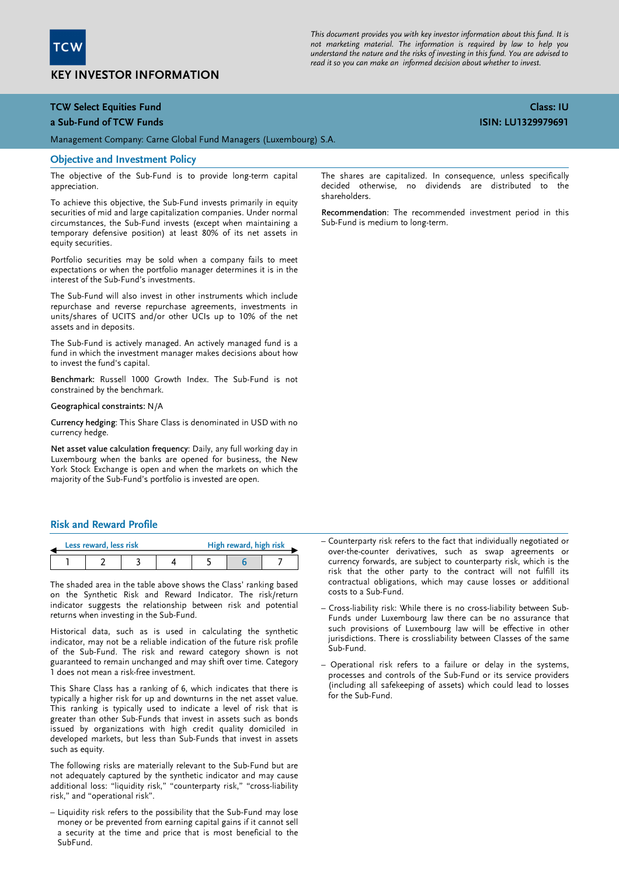

# KEY INVESTOR INFORMATION

This document provides you with key investor information about this fund. It is not marketing material. The information is required by law to help you understand the nature and the risks of investing in this fund. You are advised to read it so you can make an informed decision about whether to invest.

### TCW Select Equities Fund

#### a Sub-Fund of TCW Funds

Management Company: Carne Global Fund Managers (Luxembourg) S.A.

#### Objective and Investment Policy

The objective of the Sub-Fund is to provide long-term capital appreciation.

To achieve this objective, the Sub-Fund invests primarily in equity securities of mid and large capitalization companies. Under normal circumstances, the Sub-Fund invests (except when maintaining a temporary defensive position) at least 80% of its net assets in equity securities.

Portfolio securities may be sold when a company fails to meet expectations or when the portfolio manager determines it is in the interest of the Sub-Fund's investments.

The Sub-Fund will also invest in other instruments which include repurchase and reverse repurchase agreements, investments in units/shares of UCITS and/or other UCIs up to 10% of the net assets and in deposits.

The Sub-Fund is actively managed. An actively managed fund is a fund in which the investment manager makes decisions about how to invest the fund's capital.

Benchmark: Russell 1000 Growth Index. The Sub-Fund is not constrained by the benchmark.

#### Geographical constraints: N/A

Currency hedging: This Share Class is denominated in USD with no currency hedge.

Net asset value calculation frequency: Daily, any full working day in Luxembourg when the banks are opened for business, the New York Stock Exchange is open and when the markets on which the majority of the Sub-Fund's portfolio is invested are open.

#### Risk and Reward Profile

|  | Less reward, less risk |  | High reward, high risk |  |
|--|------------------------|--|------------------------|--|
|  |                        |  |                        |  |

The shaded area in the table above shows the Class' ranking based on the Synthetic Risk and Reward Indicator. The risk/return indicator suggests the relationship between risk and potential returns when investing in the Sub-Fund.

 indicator, may not be a reliable indication of the future risk profile Historical data, such as is used in calculating the synthetic of the Sub-Fund. The risk and reward category shown is not guaranteed to remain unchanged and may shift over time. Category 1 does not mean a risk-free investment.

This Share Class has a ranking of 6, which indicates that there is typically a higher risk for up and downturns in the net asset value. This ranking is typically used to indicate a level of risk that is greater than other Sub-Funds that invest in assets such as bonds issued by organizations with high credit quality domiciled in developed markets, but less than Sub-Funds that invest in assets such as equity.

The following risks are materially relevant to the Sub-Fund but are not adequately captured by the synthetic indicator and may cause additional loss: "liquidity risk," "counterparty risk," "cross-liability risk," and "operational risk".

– Liquidity risk refers to the possibility that the Sub-Fund may lose money or be prevented from earning capital gains if it cannot sell a security at the time and price that is most beneficial to the SubFund.

The shares are capitalized. In consequence, unless specifically decided otherwise, no dividends are distributed to the shareholders.

Recommendation: The recommended investment period in this Sub-Fund is medium to long-term.

- Counterparty risk refers to the fact that individually negotiated or over-the-counter derivatives, such as swap agreements or currency forwards, are subject to counterparty risk, which is the risk that the other party to the contract will not fulfill its contractual obligations, which may cause losses or additional costs to a Sub-Fund.
- Cross-liability risk: While there is no cross-liability between Sub-Funds under Luxembourg law there can be no assurance that such provisions of Luxembourg law will be effective in other jurisdictions. There is crossliability between Classes of the same Sub-Fund.
- Operational risk refers to a failure or delay in the systems, processes and controls of the Sub-Fund or its service providers (including all safekeeping of assets) which could lead to losses for the Sub-Fund.

## Class: IU ISIN: LU1329979691